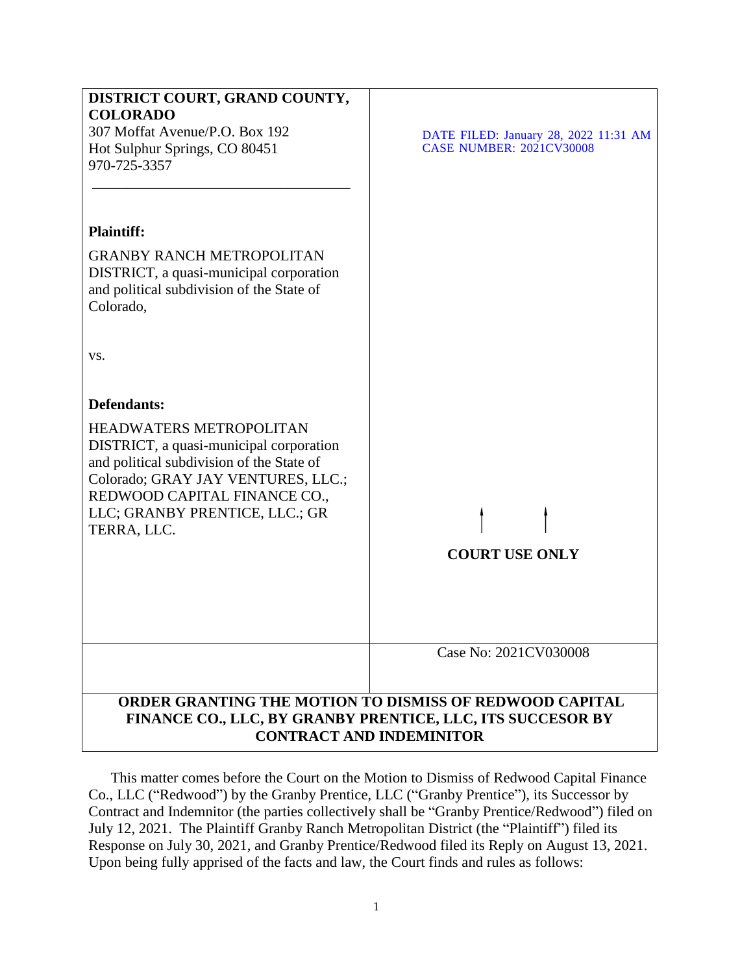| DISTRICT COURT, GRAND COUNTY,<br><b>COLORADO</b><br>307 Moffat Avenue/P.O. Box 192<br>Hot Sulphur Springs, CO 80451<br>970-725-3357                                                                                                           | DATE FILED: January 28, 2022 11:31 AM<br><b>CASE NUMBER: 2021CV30008</b> |
|-----------------------------------------------------------------------------------------------------------------------------------------------------------------------------------------------------------------------------------------------|--------------------------------------------------------------------------|
| <b>Plaintiff:</b>                                                                                                                                                                                                                             |                                                                          |
| <b>GRANBY RANCH METROPOLITAN</b><br>DISTRICT, a quasi-municipal corporation<br>and political subdivision of the State of<br>Colorado,                                                                                                         |                                                                          |
| VS.                                                                                                                                                                                                                                           |                                                                          |
| Defendants:                                                                                                                                                                                                                                   |                                                                          |
| <b>HEADWATERS METROPOLITAN</b><br>DISTRICT, a quasi-municipal corporation<br>and political subdivision of the State of<br>Colorado; GRAY JAY VENTURES, LLC.;<br>REDWOOD CAPITAL FINANCE CO.,<br>LLC; GRANBY PRENTICE, LLC.; GR<br>TERRA, LLC. | <b>COURT USE ONLY</b>                                                    |
|                                                                                                                                                                                                                                               | Case No: 2021CV030008                                                    |
|                                                                                                                                                                                                                                               |                                                                          |
| ORDER GRANTING THE MOTION TO DISMISS OF REDWOOD CAPITAL<br>FINANCE CO., LLC, BY GRANBY PRENTICE, LLC, ITS SUCCESOR BY<br><b>CONTRACT AND INDEMINITOR</b>                                                                                      |                                                                          |

This matter comes before the Court on the Motion to Dismiss of Redwood Capital Finance Co., LLC ("Redwood") by the Granby Prentice, LLC ("Granby Prentice"), its Successor by Contract and Indemnitor (the parties collectively shall be "Granby Prentice/Redwood") filed on July 12, 2021. The Plaintiff Granby Ranch Metropolitan District (the "Plaintiff") filed its Response on July 30, 2021, and Granby Prentice/Redwood filed its Reply on August 13, 2021. Upon being fully apprised of the facts and law, the Court finds and rules as follows: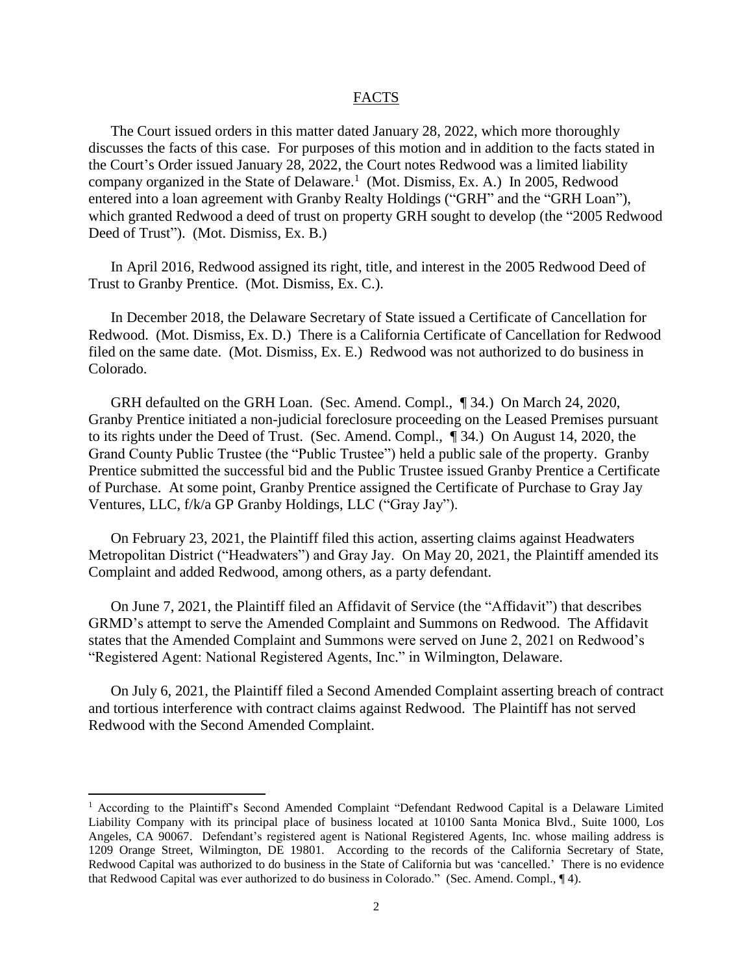#### FACTS

The Court issued orders in this matter dated January 28, 2022, which more thoroughly discusses the facts of this case. For purposes of this motion and in addition to the facts stated in the Court's Order issued January 28, 2022, the Court notes Redwood was a limited liability company organized in the State of Delaware.<sup>1</sup> (Mot. Dismiss, Ex. A.) In 2005, Redwood entered into a loan agreement with Granby Realty Holdings ("GRH" and the "GRH Loan"), which granted Redwood a deed of trust on property GRH sought to develop (the "2005 Redwood Deed of Trust"). (Mot. Dismiss, Ex. B.)

In April 2016, Redwood assigned its right, title, and interest in the 2005 Redwood Deed of Trust to Granby Prentice. (Mot. Dismiss, Ex. C.).

In December 2018, the Delaware Secretary of State issued a Certificate of Cancellation for Redwood. (Mot. Dismiss, Ex. D.) There is a California Certificate of Cancellation for Redwood filed on the same date. (Mot. Dismiss, Ex. E.) Redwood was not authorized to do business in Colorado.

GRH defaulted on the GRH Loan. (Sec. Amend. Compl., ¶ 34.) On March 24, 2020, Granby Prentice initiated a non-judicial foreclosure proceeding on the Leased Premises pursuant to its rights under the Deed of Trust. (Sec. Amend. Compl., ¶ 34.) On August 14, 2020, the Grand County Public Trustee (the "Public Trustee") held a public sale of the property. Granby Prentice submitted the successful bid and the Public Trustee issued Granby Prentice a Certificate of Purchase. At some point, Granby Prentice assigned the Certificate of Purchase to Gray Jay Ventures, LLC, f/k/a GP Granby Holdings, LLC ("Gray Jay").

On February 23, 2021, the Plaintiff filed this action, asserting claims against Headwaters Metropolitan District ("Headwaters") and Gray Jay. On May 20, 2021, the Plaintiff amended its Complaint and added Redwood, among others, as a party defendant.

On June 7, 2021, the Plaintiff filed an Affidavit of Service (the "Affidavit") that describes GRMD's attempt to serve the Amended Complaint and Summons on Redwood. The Affidavit states that the Amended Complaint and Summons were served on June 2, 2021 on Redwood's "Registered Agent: National Registered Agents, Inc." in Wilmington, Delaware.

On July 6, 2021, the Plaintiff filed a Second Amended Complaint asserting breach of contract and tortious interference with contract claims against Redwood. The Plaintiff has not served Redwood with the Second Amended Complaint.

 $\overline{\phantom{a}}$ 

<sup>1</sup> According to the Plaintiff's Second Amended Complaint "Defendant Redwood Capital is a Delaware Limited Liability Company with its principal place of business located at 10100 Santa Monica Blvd., Suite 1000, Los Angeles, CA 90067. Defendant's registered agent is National Registered Agents, Inc. whose mailing address is 1209 Orange Street, Wilmington, DE 19801. According to the records of the California Secretary of State, Redwood Capital was authorized to do business in the State of California but was 'cancelled.' There is no evidence that Redwood Capital was ever authorized to do business in Colorado." (Sec. Amend. Compl., ¶ 4).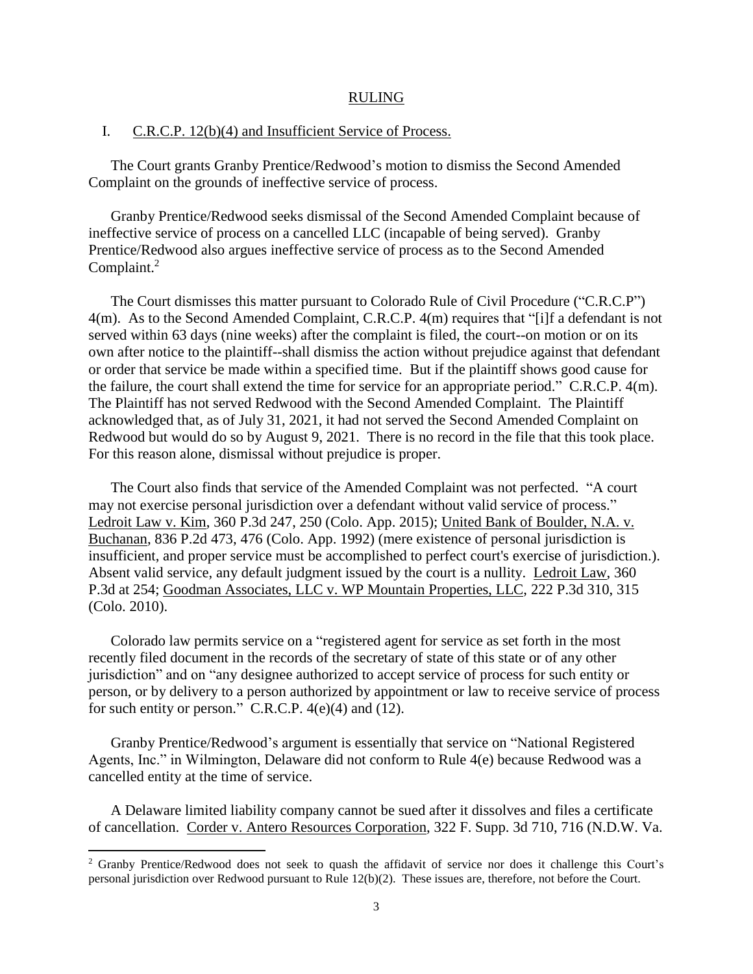#### RULING

## I. C.R.C.P. 12(b)(4) and Insufficient Service of Process.

The Court grants Granby Prentice/Redwood's motion to dismiss the Second Amended Complaint on the grounds of ineffective service of process.

Granby Prentice/Redwood seeks dismissal of the Second Amended Complaint because of ineffective service of process on a cancelled LLC (incapable of being served). Granby Prentice/Redwood also argues ineffective service of process as to the Second Amended Complaint.<sup>2</sup>

The Court dismisses this matter pursuant to Colorado Rule of Civil Procedure ("C.R.C.P") 4(m). As to the Second Amended Complaint, C.R.C.P. 4(m) requires that "[i]f a defendant is not served within 63 days (nine weeks) after the complaint is filed, the court--on motion or on its own after notice to the plaintiff--shall dismiss the action without prejudice against that defendant or order that service be made within a specified time. But if the plaintiff shows good cause for the failure, the court shall extend the time for service for an appropriate period." C.R.C.P. 4(m). The Plaintiff has not served Redwood with the Second Amended Complaint. The Plaintiff acknowledged that, as of July 31, 2021, it had not served the Second Amended Complaint on Redwood but would do so by August 9, 2021. There is no record in the file that this took place. For this reason alone, dismissal without prejudice is proper.

The Court also finds that service of the Amended Complaint was not perfected. "A court may not exercise personal jurisdiction over a defendant without valid service of process." Ledroit Law v. Kim, 360 P.3d 247, 250 (Colo. App. 2015); United Bank of Boulder, N.A. v. Buchanan, 836 P.2d 473, 476 (Colo. App. 1992) (mere existence of personal jurisdiction is insufficient, and proper service must be accomplished to perfect court's exercise of jurisdiction.). Absent valid service, any default judgment issued by the court is a nullity. Ledroit Law, 360 P.3d at 254; Goodman Associates, LLC v. WP Mountain Properties, LLC, 222 P.3d 310, 315 (Colo. 2010).

Colorado law permits service on a "registered agent for service as set forth in the most recently filed document in the records of the secretary of state of this state or of any other jurisdiction" and on "any designee authorized to accept service of process for such entity or person, or by delivery to a person authorized by appointment or law to receive service of process for such entity or person." C.R.C.P. 4(e)(4) and (12).

Granby Prentice/Redwood's argument is essentially that service on "National Registered Agents, Inc." in Wilmington, Delaware did not conform to Rule 4(e) because Redwood was a cancelled entity at the time of service.

A Delaware limited liability company cannot be sued after it dissolves and files a certificate of cancellation. Corder v. Antero Resources Corporation, 322 F. Supp. 3d 710, 716 (N.D.W. Va.

 $\overline{a}$ 

<sup>&</sup>lt;sup>2</sup> Granby Prentice/Redwood does not seek to quash the affidavit of service nor does it challenge this Court's personal jurisdiction over Redwood pursuant to Rule 12(b)(2). These issues are, therefore, not before the Court.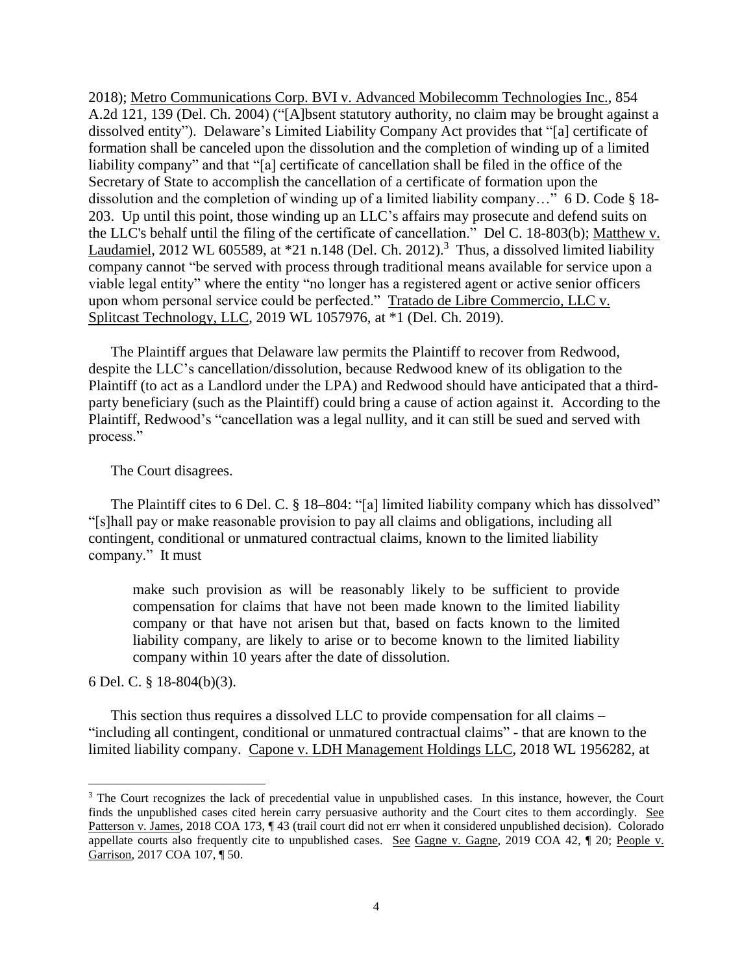2018); Metro Communications Corp. BVI v. Advanced Mobilecomm Technologies Inc., 854 A.2d 121, 139 (Del. Ch. 2004) ("[A]bsent statutory authority, no claim may be brought against a dissolved entity"). Delaware's Limited Liability Company Act provides that "[a] certificate of formation shall be canceled upon the dissolution and the completion of winding up of a limited liability company" and that "[a] certificate of cancellation shall be filed in the office of the Secretary of State to accomplish the cancellation of a certificate of formation upon the dissolution and the completion of winding up of a limited liability company..."  $6 \text{ D}$ . Code  $\S$  18-203. Up until this point, those winding up an LLC's affairs may prosecute and defend suits on the LLC's behalf until the filing of the certificate of cancellation." Del C. 18-803(b); Matthew v. Laudamiel, 2012 WL 605589, at  $*21$  n.148 (Del. Ch. 2012).<sup>3</sup> Thus, a dissolved limited liability company cannot "be served with process through traditional means available for service upon a viable legal entity" where the entity "no longer has a registered agent or active senior officers upon whom personal service could be perfected." Tratado de Libre Commercio, LLC v. Splitcast Technology, LLC, 2019 WL 1057976, at \*1 (Del. Ch. 2019).

The Plaintiff argues that Delaware law permits the Plaintiff to recover from Redwood, despite the LLC's cancellation/dissolution, because Redwood knew of its obligation to the Plaintiff (to act as a Landlord under the LPA) and Redwood should have anticipated that a thirdparty beneficiary (such as the Plaintiff) could bring a cause of action against it. According to the Plaintiff, Redwood's "cancellation was a legal nullity, and it can still be sued and served with process."

The Court disagrees.

The Plaintiff cites to 6 Del. C. § 18–804: "[a] limited liability company which has dissolved" "[s]hall pay or make reasonable provision to pay all claims and obligations, including all contingent, conditional or unmatured contractual claims, known to the limited liability company." It must

make such provision as will be reasonably likely to be sufficient to provide compensation for claims that have not been made known to the limited liability company or that have not arisen but that, based on facts known to the limited liability company, are likely to arise or to become known to the limited liability company within 10 years after the date of dissolution.

6 Del. C. § 18-804(b)(3).

 $\overline{a}$ 

This section thus requires a dissolved LLC to provide compensation for all claims – "including all contingent, conditional or unmatured contractual claims" - that are known to the limited liability company. Capone v. LDH Management Holdings LLC, 2018 WL 1956282, at

<sup>&</sup>lt;sup>3</sup> The Court recognizes the lack of precedential value in unpublished cases. In this instance, however, the Court finds the unpublished cases cited herein carry persuasive authority and the Court cites to them accordingly. See Patterson v. James, 2018 COA 173, ¶ 43 (trail court did not err when it considered unpublished decision). Colorado appellate courts also frequently cite to unpublished cases. See Gagne v. Gagne, 2019 COA 42, ¶ 20; People v. Garrison, 2017 COA 107, ¶ 50.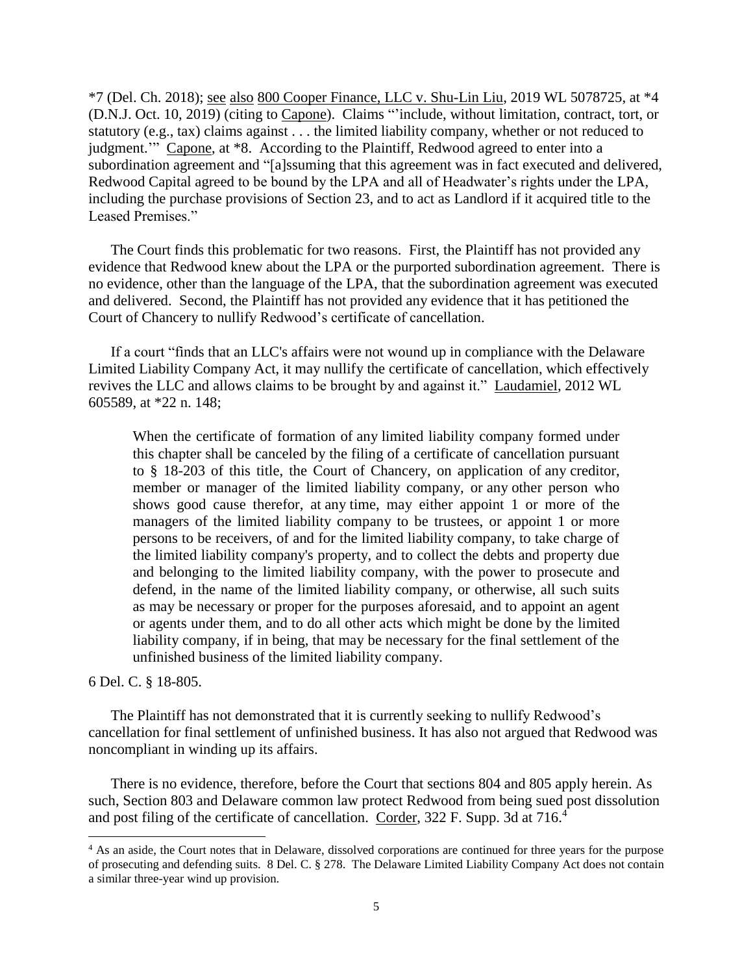\*7 (Del. Ch. 2018); see also 800 Cooper Finance, LLC v. Shu-Lin Liu, 2019 WL 5078725, at \*4 (D.N.J. Oct. 10, 2019) (citing to Capone). Claims "'include, without limitation, contract, tort, or statutory (e.g., tax) claims against . . . the limited liability company, whether or not reduced to judgment." Capone, at \*8. According to the Plaintiff, Redwood agreed to enter into a subordination agreement and "[a]ssuming that this agreement was in fact executed and delivered, Redwood Capital agreed to be bound by the LPA and all of Headwater's rights under the LPA, including the purchase provisions of Section 23, and to act as Landlord if it acquired title to the Leased Premises."

The Court finds this problematic for two reasons. First, the Plaintiff has not provided any evidence that Redwood knew about the LPA or the purported subordination agreement. There is no evidence, other than the language of the LPA, that the subordination agreement was executed and delivered. Second, the Plaintiff has not provided any evidence that it has petitioned the Court of Chancery to nullify Redwood's certificate of cancellation.

If a court "finds that an LLC's affairs were not wound up in compliance with the Delaware Limited Liability Company Act, it may nullify the certificate of cancellation, which effectively revives the LLC and allows claims to be brought by and against it." Laudamiel, 2012 WL 605589, at \*22 n. 148;

When the certificate of formation of any limited liability company formed under this chapter shall be canceled by the filing of a certificate of cancellation pursuant to § 18-203 of this title, the Court of Chancery, on application of any creditor, member or manager of the limited liability company, or any other person who shows good cause therefor, at any time, may either appoint 1 or more of the managers of the limited liability company to be trustees, or appoint 1 or more persons to be receivers, of and for the limited liability company, to take charge of the limited liability company's property, and to collect the debts and property due and belonging to the limited liability company, with the power to prosecute and defend, in the name of the limited liability company, or otherwise, all such suits as may be necessary or proper for the purposes aforesaid, and to appoint an agent or agents under them, and to do all other acts which might be done by the limited liability company, if in being, that may be necessary for the final settlement of the unfinished business of the limited liability company.

6 Del. C. § 18-805.

 $\overline{\phantom{a}}$ 

The Plaintiff has not demonstrated that it is currently seeking to nullify Redwood's cancellation for final settlement of unfinished business. It has also not argued that Redwood was noncompliant in winding up its affairs.

There is no evidence, therefore, before the Court that sections 804 and 805 apply herein. As such, Section 803 and Delaware common law protect Redwood from being sued post dissolution and post filing of the certificate of cancellation. Corder, 322 F. Supp. 3d at 716.<sup>4</sup>

<sup>&</sup>lt;sup>4</sup> As an aside, the Court notes that in Delaware, dissolved corporations are continued for three years for the purpose of prosecuting and defending suits. 8 Del. C. § 278. The Delaware Limited Liability Company Act does not contain a similar three-year wind up provision.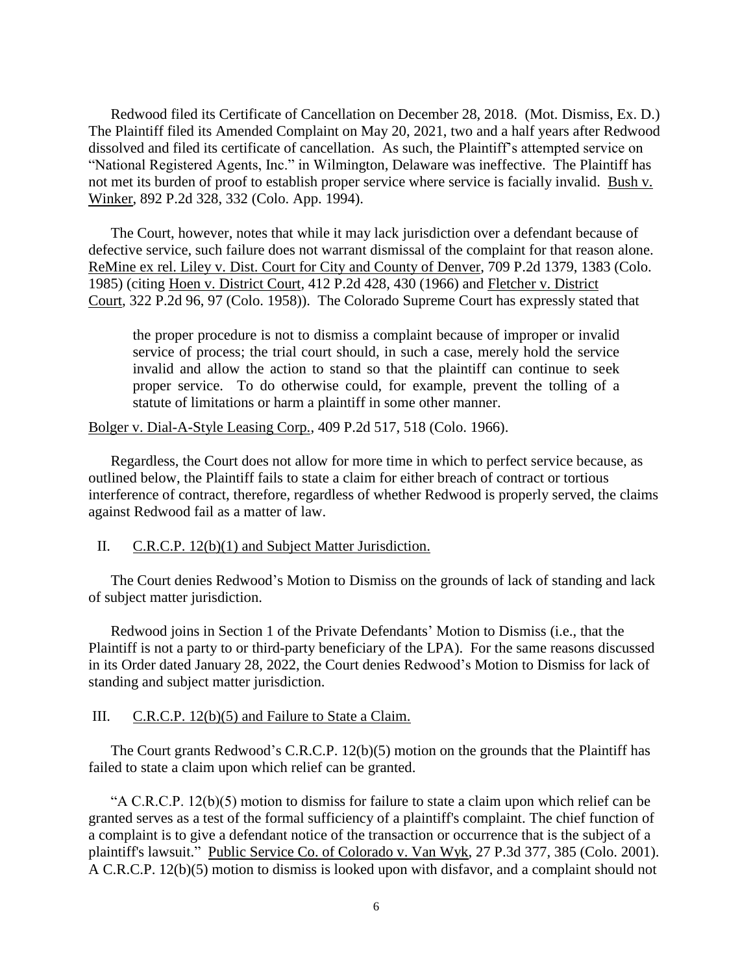Redwood filed its Certificate of Cancellation on December 28, 2018. (Mot. Dismiss, Ex. D.) The Plaintiff filed its Amended Complaint on May 20, 2021, two and a half years after Redwood dissolved and filed its certificate of cancellation. As such, the Plaintiff's attempted service on "National Registered Agents, Inc." in Wilmington, Delaware was ineffective. The Plaintiff has not met its burden of proof to establish proper service where service is facially invalid. Bush v. Winker, 892 P.2d 328, 332 (Colo. App. 1994).

The Court, however, notes that while it may lack jurisdiction over a defendant because of defective service, such failure does not warrant dismissal of the complaint for that reason alone. ReMine ex rel. Liley v. Dist. Court for City and County of Denver, 709 P.2d 1379, 1383 (Colo. 1985) (citing Hoen v. District Court*,* 412 P.2d 428, 430 (1966) and Fletcher v. District Court*,* 322 P.2d 96, 97 (Colo. 1958)). The Colorado Supreme Court has expressly stated that

the proper procedure is not to dismiss a complaint because of improper or invalid service of process; the trial court should, in such a case, merely hold the service invalid and allow the action to stand so that the plaintiff can continue to seek proper service. To do otherwise could, for example, prevent the tolling of a statute of limitations or harm a plaintiff in some other manner.

Bolger v. Dial-A-Style Leasing Corp., 409 P.2d 517, 518 (Colo. 1966).

Regardless, the Court does not allow for more time in which to perfect service because, as outlined below, the Plaintiff fails to state a claim for either breach of contract or tortious interference of contract, therefore, regardless of whether Redwood is properly served, the claims against Redwood fail as a matter of law.

#### II. C.R.C.P. 12(b)(1) and Subject Matter Jurisdiction.

The Court denies Redwood's Motion to Dismiss on the grounds of lack of standing and lack of subject matter jurisdiction.

Redwood joins in Section 1 of the Private Defendants' Motion to Dismiss (i.e., that the Plaintiff is not a party to or third-party beneficiary of the LPA). For the same reasons discussed in its Order dated January 28, 2022, the Court denies Redwood's Motion to Dismiss for lack of standing and subject matter jurisdiction.

## III. C.R.C.P. 12(b)(5) and Failure to State a Claim.

The Court grants Redwood's C.R.C.P. 12(b)(5) motion on the grounds that the Plaintiff has failed to state a claim upon which relief can be granted.

"A C.R.C.P. 12(b)(5) motion to dismiss for failure to state a claim upon which relief can be granted serves as a test of the formal sufficiency of a plaintiff's complaint. The chief function of a complaint is to give a defendant notice of the transaction or occurrence that is the subject of a plaintiff's lawsuit." Public Service Co. of Colorado v. Van Wyk, 27 P.3d 377, 385 (Colo. 2001). A C.R.C.P. 12(b)(5) motion to dismiss is looked upon with disfavor, and a complaint should not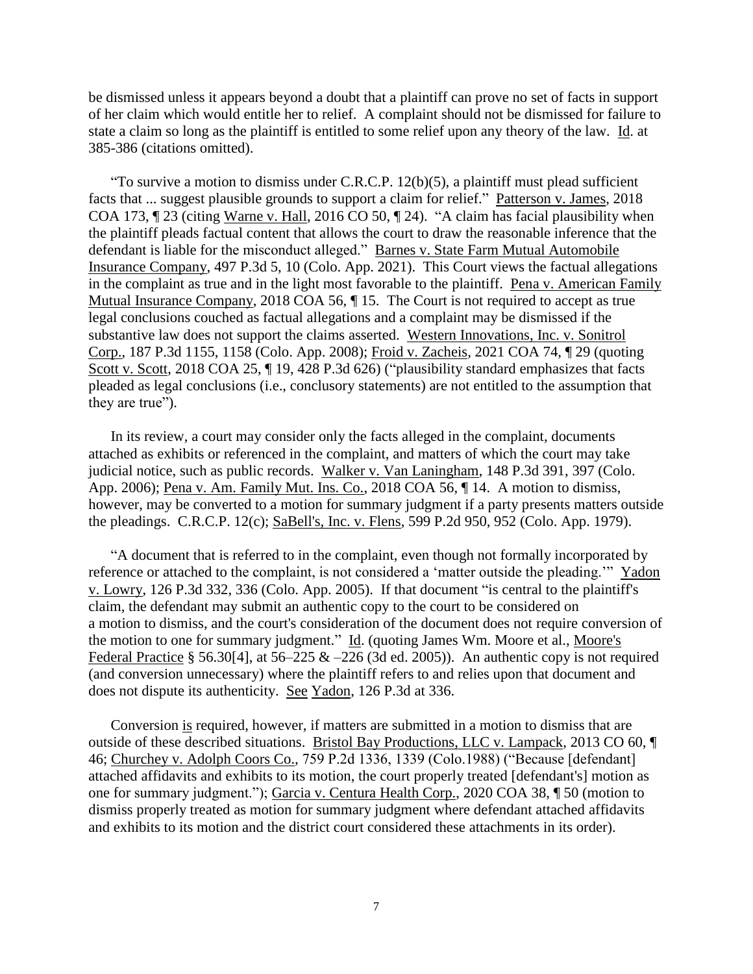be dismissed unless it appears beyond a doubt that a plaintiff can prove no set of facts in support of her claim which would entitle her to relief. A complaint should not be dismissed for failure to state a claim so long as the plaintiff is entitled to some relief upon any theory of the law. Id. at 385-386 (citations omitted).

"To survive a motion to dismiss under C.R.C.P.  $12(b)(5)$ , a plaintiff must plead sufficient facts that ... suggest plausible grounds to support a claim for relief." Patterson v. James, 2018 COA 173, ¶ 23 (citing Warne v. Hall, 2016 CO 50, ¶ 24). "A claim has facial plausibility when the plaintiff pleads factual content that allows the court to draw the reasonable inference that the defendant is liable for the misconduct alleged." Barnes v. State Farm Mutual Automobile Insurance Company, 497 P.3d 5, 10 (Colo. App. 2021). This Court views the factual allegations in the complaint as true and in the light most favorable to the plaintiff. Pena v. American Family Mutual Insurance Company, 2018 COA 56,  $\P$  15. The Court is not required to accept as true legal conclusions couched as factual allegations and a complaint may be dismissed if the substantive law does not support the claims asserted. Western Innovations, Inc. v. Sonitrol Corp., 187 P.3d 1155, 1158 (Colo. App. 2008); Froid v. Zacheis, 2021 COA 74, ¶ 29 (quoting Scott v. Scott, 2018 COA 25, ¶ 19, 428 P.3d 626) ("plausibility standard emphasizes that facts pleaded as legal conclusions (i.e., conclusory statements) are not entitled to the assumption that they are true").

In its review, a court may consider only the facts alleged in the complaint, documents attached as exhibits or referenced in the complaint, and matters of which the court may take judicial notice, such as public records. Walker v. Van Laningham, 148 P.3d 391, 397 (Colo. App. 2006); Pena v. Am. Family Mut. Ins. Co., 2018 COA 56, ¶ 14. A motion to dismiss, however, may be converted to a motion for summary judgment if a party presents matters outside the pleadings. C.R.C.P. 12(c); SaBell's, Inc. v. Flens, 599 P.2d 950, 952 (Colo. App. 1979).

"A document that is referred to in the complaint, even though not formally incorporated by reference or attached to the complaint, is not considered a 'matter outside the pleading.'" Yadon v. Lowry, 126 P.3d 332, 336 (Colo. App. 2005). If that document "is central to the plaintiff's claim, the defendant may submit an authentic copy to the court to be considered on a motion to dismiss, and the court's consideration of the document does not require conversion of the motion to one for summary judgment." Id. (quoting James Wm. Moore et al., Moore's Federal Practice § 56.30[4], at  $56-225 \& -226$  (3d ed. 2005)). An authentic copy is not required (and conversion unnecessary) where the plaintiff refers to and relies upon that document and does not dispute its authenticity. See Yadon, 126 P.3d at 336.

Conversion is required, however, if matters are submitted in a motion to dismiss that are outside of these described situations. Bristol Bay Productions, LLC v. Lampack, 2013 CO 60, ¶ 46; Churchey v. Adolph Coors Co.*,* 759 P.2d 1336, 1339 (Colo.1988) ("Because [defendant] attached affidavits and exhibits to its motion, the court properly treated [defendant's] motion as one for summary judgment."); Garcia v. Centura Health Corp., 2020 COA 38, ¶ 50 (motion to dismiss properly treated as motion for summary judgment where defendant attached affidavits and exhibits to its motion and the district court considered these attachments in its order).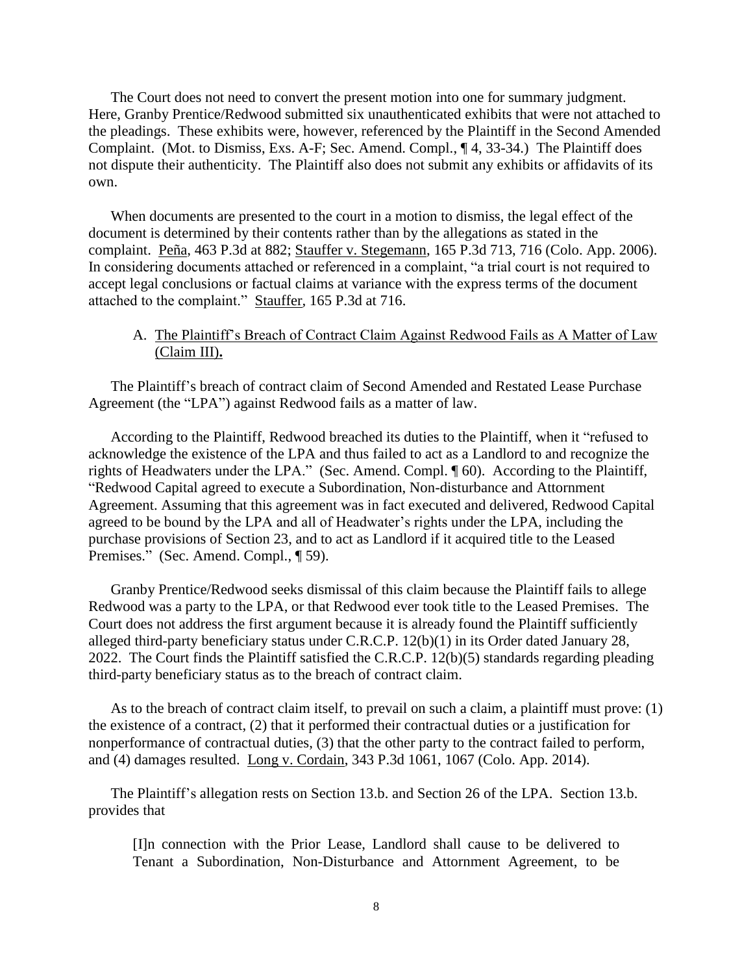The Court does not need to convert the present motion into one for summary judgment. Here, Granby Prentice/Redwood submitted six unauthenticated exhibits that were not attached to the pleadings. These exhibits were, however, referenced by the Plaintiff in the Second Amended Complaint. (Mot. to Dismiss, Exs. A-F; Sec. Amend. Compl., ¶ 4, 33-34.) The Plaintiff does not dispute their authenticity. The Plaintiff also does not submit any exhibits or affidavits of its own.

When documents are presented to the court in a motion to dismiss, the legal effect of the document is determined by their contents rather than by the allegations as stated in the complaint. Peña*,* 463 P.3d at 882; Stauffer v. Stegemann, 165 P.3d 713, 716 (Colo. App. 2006). In considering documents attached or referenced in a complaint, "a trial court is not required to accept legal conclusions or factual claims at variance with the express terms of the document attached to the complaint." Stauffer*,* 165 P.3d at 716.

# A. The Plaintiff's Breach of Contract Claim Against Redwood Fails as A Matter of Law (Claim III)**.**

The Plaintiff's breach of contract claim of Second Amended and Restated Lease Purchase Agreement (the "LPA") against Redwood fails as a matter of law.

According to the Plaintiff, Redwood breached its duties to the Plaintiff, when it "refused to acknowledge the existence of the LPA and thus failed to act as a Landlord to and recognize the rights of Headwaters under the LPA." (Sec. Amend. Compl. ¶ 60). According to the Plaintiff, "Redwood Capital agreed to execute a Subordination, Non-disturbance and Attornment Agreement. Assuming that this agreement was in fact executed and delivered, Redwood Capital agreed to be bound by the LPA and all of Headwater's rights under the LPA, including the purchase provisions of Section 23, and to act as Landlord if it acquired title to the Leased Premises." (Sec. Amend. Compl., ¶ 59).

Granby Prentice/Redwood seeks dismissal of this claim because the Plaintiff fails to allege Redwood was a party to the LPA, or that Redwood ever took title to the Leased Premises. The Court does not address the first argument because it is already found the Plaintiff sufficiently alleged third-party beneficiary status under C.R.C.P. 12(b)(1) in its Order dated January 28, 2022. The Court finds the Plaintiff satisfied the C.R.C.P. 12(b)(5) standards regarding pleading third-party beneficiary status as to the breach of contract claim.

As to the breach of contract claim itself, to prevail on such a claim, a plaintiff must prove: (1) the existence of a contract, (2) that it performed their contractual duties or a justification for nonperformance of contractual duties, (3) that the other party to the contract failed to perform, and (4) damages resulted. Long v. Cordain, 343 P.3d 1061, 1067 (Colo. App. 2014).

The Plaintiff's allegation rests on Section 13.b. and Section 26 of the LPA. Section 13.b. provides that

[I]n connection with the Prior Lease, Landlord shall cause to be delivered to Tenant a Subordination, Non-Disturbance and Attornment Agreement, to be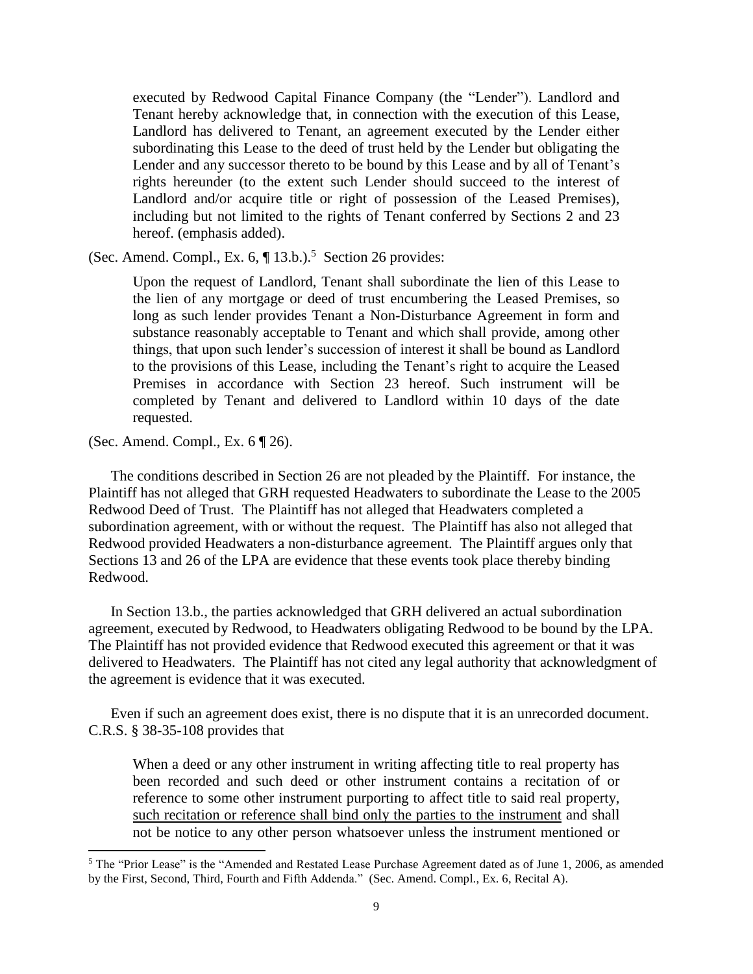executed by Redwood Capital Finance Company (the "Lender"). Landlord and Tenant hereby acknowledge that, in connection with the execution of this Lease, Landlord has delivered to Tenant, an agreement executed by the Lender either subordinating this Lease to the deed of trust held by the Lender but obligating the Lender and any successor thereto to be bound by this Lease and by all of Tenant's rights hereunder (to the extent such Lender should succeed to the interest of Landlord and/or acquire title or right of possession of the Leased Premises), including but not limited to the rights of Tenant conferred by Sections 2 and 23 hereof. (emphasis added).

(Sec. Amend. Compl., Ex.  $6, \P 13.b$ .).<sup>5</sup> Section 26 provides:

Upon the request of Landlord, Tenant shall subordinate the lien of this Lease to the lien of any mortgage or deed of trust encumbering the Leased Premises, so long as such lender provides Tenant a Non-Disturbance Agreement in form and substance reasonably acceptable to Tenant and which shall provide, among other things, that upon such lender's succession of interest it shall be bound as Landlord to the provisions of this Lease, including the Tenant's right to acquire the Leased Premises in accordance with Section 23 hereof. Such instrument will be completed by Tenant and delivered to Landlord within 10 days of the date requested.

(Sec. Amend. Compl., Ex. 6 ¶ 26).

 $\overline{a}$ 

The conditions described in Section 26 are not pleaded by the Plaintiff. For instance, the Plaintiff has not alleged that GRH requested Headwaters to subordinate the Lease to the 2005 Redwood Deed of Trust. The Plaintiff has not alleged that Headwaters completed a subordination agreement, with or without the request. The Plaintiff has also not alleged that Redwood provided Headwaters a non-disturbance agreement. The Plaintiff argues only that Sections 13 and 26 of the LPA are evidence that these events took place thereby binding Redwood.

In Section 13.b., the parties acknowledged that GRH delivered an actual subordination agreement, executed by Redwood, to Headwaters obligating Redwood to be bound by the LPA. The Plaintiff has not provided evidence that Redwood executed this agreement or that it was delivered to Headwaters. The Plaintiff has not cited any legal authority that acknowledgment of the agreement is evidence that it was executed.

Even if such an agreement does exist, there is no dispute that it is an unrecorded document. C.R.S. § 38-35-108 provides that

When a deed or any other instrument in writing affecting title to real property has been recorded and such deed or other instrument contains a recitation of or reference to some other instrument purporting to affect title to said real property, such recitation or reference shall bind only the parties to the instrument and shall not be notice to any other person whatsoever unless the instrument mentioned or

<sup>5</sup> The "Prior Lease" is the "Amended and Restated Lease Purchase Agreement dated as of June 1, 2006, as amended by the First, Second, Third, Fourth and Fifth Addenda." (Sec. Amend. Compl., Ex. 6, Recital A).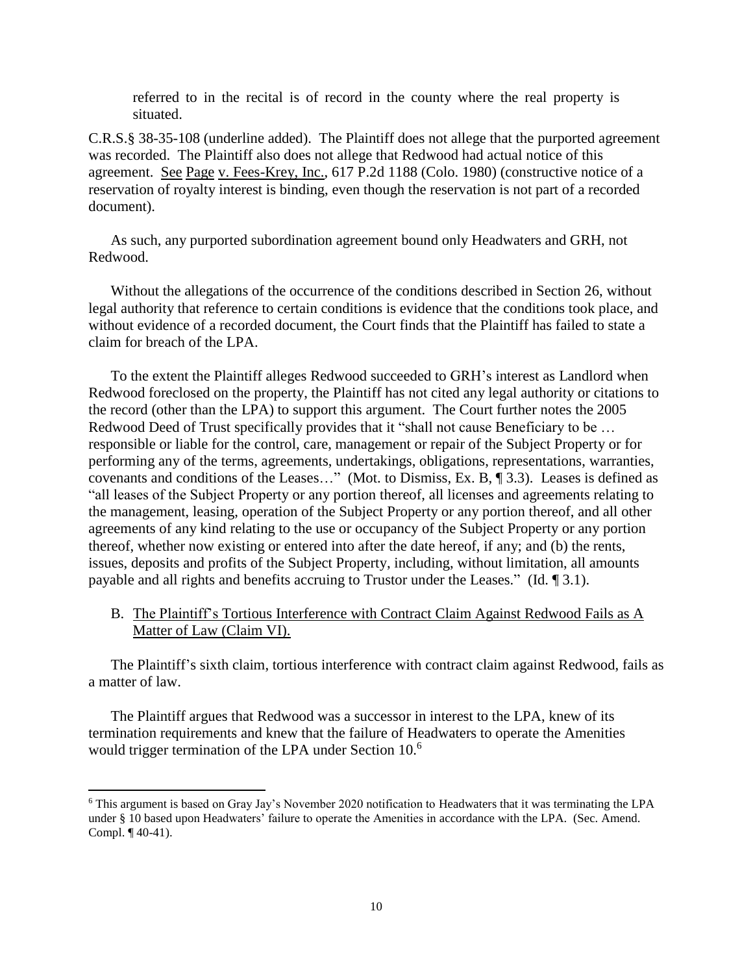referred to in the recital is of record in the county where the real property is situated.

C.R.S.§ 38-35-108 (underline added). The Plaintiff does not allege that the purported agreement was recorded. The Plaintiff also does not allege that Redwood had actual notice of this agreement. See Page v. Fees-Krey, Inc., 617 P.2d 1188 (Colo. 1980) (constructive notice of a reservation of royalty interest is binding, even though the reservation is not part of a recorded document).

As such, any purported subordination agreement bound only Headwaters and GRH, not Redwood.

Without the allegations of the occurrence of the conditions described in Section 26, without legal authority that reference to certain conditions is evidence that the conditions took place, and without evidence of a recorded document, the Court finds that the Plaintiff has failed to state a claim for breach of the LPA.

To the extent the Plaintiff alleges Redwood succeeded to GRH's interest as Landlord when Redwood foreclosed on the property, the Plaintiff has not cited any legal authority or citations to the record (other than the LPA) to support this argument. The Court further notes the 2005 Redwood Deed of Trust specifically provides that it "shall not cause Beneficiary to be ... responsible or liable for the control, care, management or repair of the Subject Property or for performing any of the terms, agreements, undertakings, obligations, representations, warranties, covenants and conditions of the Leases…" (Mot. to Dismiss, Ex. B, ¶ 3.3). Leases is defined as "all leases of the Subject Property or any portion thereof, all licenses and agreements relating to the management, leasing, operation of the Subject Property or any portion thereof, and all other agreements of any kind relating to the use or occupancy of the Subject Property or any portion thereof, whether now existing or entered into after the date hereof, if any; and (b) the rents, issues, deposits and profits of the Subject Property, including, without limitation, all amounts payable and all rights and benefits accruing to Trustor under the Leases." (Id. ¶ 3.1).

B. The Plaintiff's Tortious Interference with Contract Claim Against Redwood Fails as A Matter of Law (Claim VI).

The Plaintiff's sixth claim, tortious interference with contract claim against Redwood, fails as a matter of law.

The Plaintiff argues that Redwood was a successor in interest to the LPA, knew of its termination requirements and knew that the failure of Headwaters to operate the Amenities would trigger termination of the LPA under Section 10.<sup>6</sup>

l

<sup>6</sup> This argument is based on Gray Jay's November 2020 notification to Headwaters that it was terminating the LPA under § 10 based upon Headwaters' failure to operate the Amenities in accordance with the LPA. (Sec. Amend. Compl. ¶ 40-41).